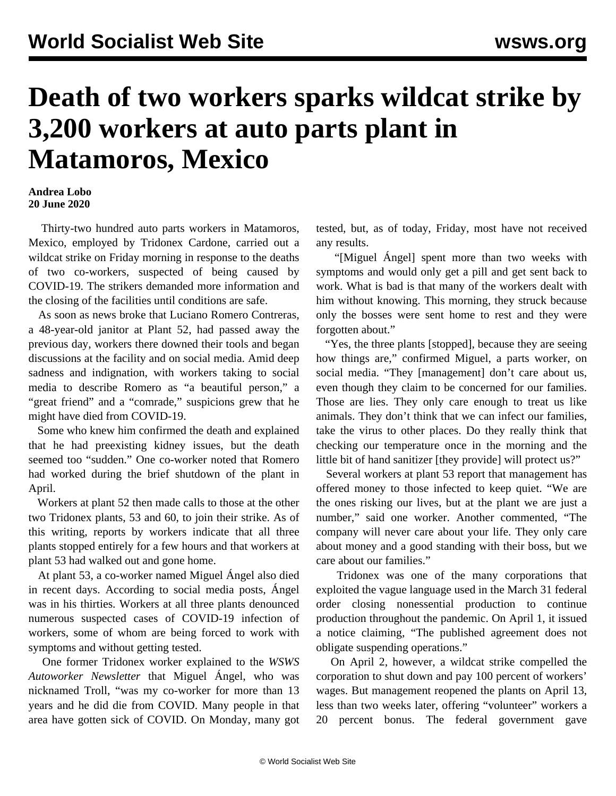## **Death of two workers sparks wildcat strike by 3,200 workers at auto parts plant in Matamoros, Mexico**

## **Andrea Lobo 20 June 2020**

 Thirty-two hundred auto parts workers in Matamoros, Mexico, employed by Tridonex Cardone, carried out a wildcat strike on Friday morning in response to the deaths of two co-workers, suspected of being caused by COVID-19. The strikers demanded more information and the closing of the facilities until conditions are safe.

 As soon as news broke that Luciano Romero Contreras, a 48-year-old janitor at Plant 52, had passed away the previous day, workers there downed their tools and began discussions at the facility and on social media. Amid deep sadness and indignation, with workers taking to social media to describe Romero as "a beautiful person," a "great friend" and a "comrade," suspicions grew that he might have died from COVID-19.

 Some who knew him confirmed the death and explained that he had preexisting kidney issues, but the death seemed too "sudden." One co-worker noted that Romero had worked during the brief shutdown of the plant in April.

 Workers at plant 52 then made calls to those at the other two Tridonex plants, 53 and 60, to join their strike. As of this writing, reports by workers indicate that all three plants stopped entirely for a few hours and that workers at plant 53 had walked out and gone home.

 At plant 53, a co-worker named Miguel Ángel also died in recent days. According to social media posts, Ángel was in his thirties. Workers at all three plants denounced numerous suspected cases of COVID-19 infection of workers, some of whom are being forced to work with symptoms and without getting tested.

 One former Tridonex worker explained to the *WSWS Autoworker Newsletter* that Miguel Ángel, who was nicknamed Troll, "was my co-worker for more than 13 years and he did die from COVID. Many people in that area have gotten sick of COVID. On Monday, many got

tested, but, as of today, Friday, most have not received any results.

 "[Miguel Ángel] spent more than two weeks with symptoms and would only get a pill and get sent back to work. What is bad is that many of the workers dealt with him without knowing. This morning, they struck because only the bosses were sent home to rest and they were forgotten about."

 "Yes, the three plants [stopped], because they are seeing how things are," confirmed Miguel, a parts worker, on social media. "They [management] don't care about us, even though they claim to be concerned for our families. Those are lies. They only care enough to treat us like animals. They don't think that we can infect our families, take the virus to other places. Do they really think that checking our temperature once in the morning and the little bit of hand sanitizer [they provide] will protect us?"

 Several workers at plant 53 report that management has offered money to those infected to keep quiet. "We are the ones risking our lives, but at the plant we are just a number," said one worker. Another commented, "The company will never care about your life. They only care about money and a good standing with their boss, but we care about our families."

 Tridonex was one of the many corporations that exploited the vague language used in the March 31 federal order closing nonessential production to continue production throughout the pandemic. On April 1, it issued a notice claiming, "The published agreement does not obligate suspending operations."

 On April 2, however, a wildcat strike compelled the corporation to shut down and pay 100 percent of workers' wages. But management reopened the plants on April 13, less than two weeks later, offering "volunteer" workers a 20 percent bonus. The federal government gave